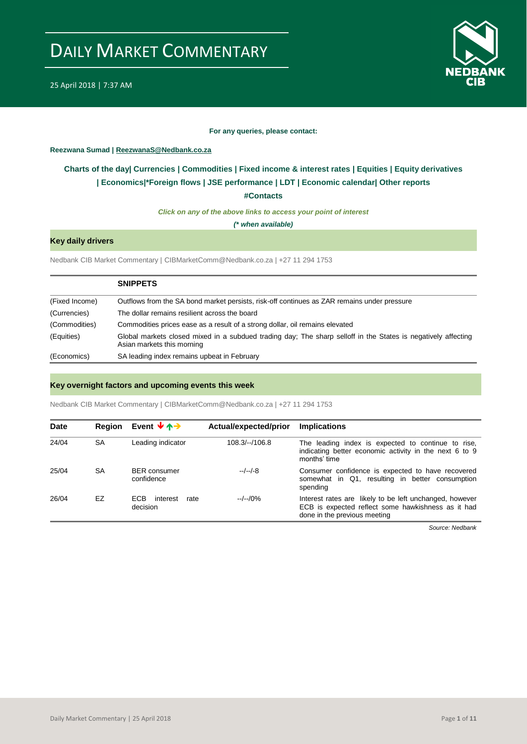

#### **For any queries, please contact:**

#### <span id="page-0-0"></span>**Reezwana Sumad | ReezwanaS@Nedbank.co.za**

### **Charts of the day| [Currencies](#page-2-0) [| Commodities](#page-3-0) | [Fixed income & interest rates](#page-1-0) | [Equities](#page-4-0) | Equity derivatives | [Economics|\\*](#page-7-0)Foreign flows [| JSE performance](#page-4-1) | [LDT](#page-5-0) | [Economic calendar|](#page-8-0) Other reports**

**[#Contacts](#page-9-0)**

*Click on any of the above links to access your point of interest*

*(\* when available)*

#### **Key daily drivers**

Nedbank CIB Market Commentary | CIBMarketComm@Nedbank.co.za | +27 11 294 1753

|                | <b>SNIPPETS</b>                                                                                                                             |
|----------------|---------------------------------------------------------------------------------------------------------------------------------------------|
| (Fixed Income) | Outflows from the SA bond market persists, risk-off continues as ZAR remains under pressure                                                 |
| (Currencies)   | The dollar remains resilient across the board                                                                                               |
| (Commodities)  | Commodities prices ease as a result of a strong dollar, oil remains elevated                                                                |
| (Equities)     | Global markets closed mixed in a subdued trading day; The sharp selloff in the States is negatively affecting<br>Asian markets this morning |
| (Economics)    | SA leading index remains upbeat in February                                                                                                 |

#### **Key overnight factors and upcoming events this week**

Nedbank CIB Market Commentary | CIBMarketComm@Nedbank.co.za | +27 11 294 1753

| <b>Date</b> | <b>Region</b> | Event $\forall \uparrow \rightarrow$ | Actual/expected/prior | <b>Implications</b>                                                                                                                           |
|-------------|---------------|--------------------------------------|-----------------------|-----------------------------------------------------------------------------------------------------------------------------------------------|
| 24/04       | <b>SA</b>     | Leading indicator                    | $108.3/-/106.8$       | The leading index is expected to continue to rise,<br>indicating better economic activity in the next 6 to 9<br>months' time                  |
| 25/04       | <b>SA</b>     | <b>BER</b> consumer<br>confidence    | $-/-/-8$              | Consumer confidence is expected to have recovered<br>somewhat in Q1, resulting in better consumption<br>spending                              |
| 26/04       | EZ            | ECB.<br>interest<br>rate<br>decision | $-/-/0\%$             | Interest rates are likely to be left unchanged, however<br>ECB is expected reflect some hawkishness as it had<br>done in the previous meeting |

*Source: Nedbank*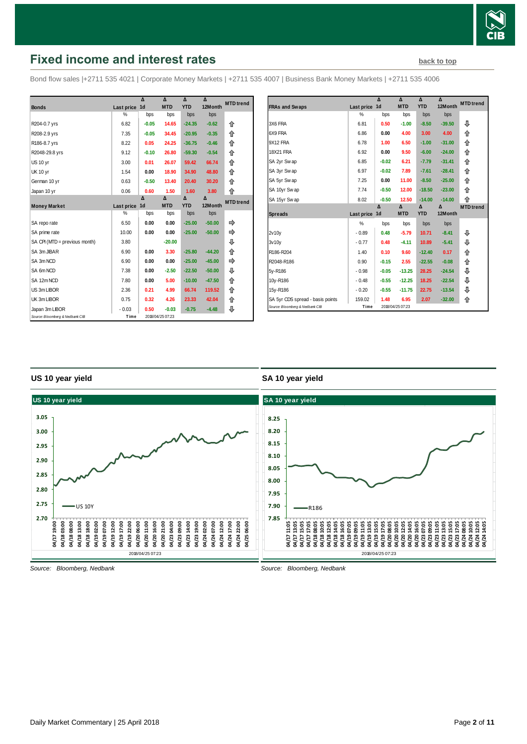

### <span id="page-1-0"></span>**Fixed income and interest rates [back to top](#page-0-0) back to top**

Bond flow sales |+2711 535 4021 | Corporate Money Markets | +2711 535 4007 | Business Bank Money Markets | +2711 535 4006

|                                 |               | Δ              | $\lambda$        | $\Lambda$  | $\lambda$ | <b>MTD</b> trend |
|---------------------------------|---------------|----------------|------------------|------------|-----------|------------------|
| <b>Bonds</b>                    | Last price    | 1 <sub>d</sub> | <b>MTD</b>       | <b>YTD</b> | 12Month   |                  |
|                                 | $\frac{0}{0}$ | bps            | bps              | bps        | bps       |                  |
| R204-0.7 yrs                    | 6.82          | $-0.05$        | 14.65            | $-24.35$   | $-0.62$   | 合                |
| R208-2.9 yrs                    | 7.35          | $-0.05$        | 34.45            | $-20.95$   | $-0.35$   | 企                |
| R186-8.7 yrs                    | 8.22          | 0.05           | 24.25            | $-36.75$   | $-0.46$   | 企                |
| R2048-29.8 yrs                  | 9.12          | $-0.10$        | 26.80            | $-59.30$   | $-0.54$   | 企                |
| US 10 yr                        | 3.00          | 0.01           | 26.07            | 59.42      | 66.74     | 合                |
| <b>UK 10 yr</b>                 | 1.54          | 0.00           | 18.90            | 34.90      | 48.80     | 企                |
| German 10 yr                    | 0.63          | $-0.50$        | 13.40            | 20.40      | 30.20     | 企                |
| Japan 10 yr                     | 0.06          | 0.60           | 1.50             | 1.60       | 3.80      | 合                |
|                                 |               | Δ              | Δ                | Δ          | Δ         | <b>MTD</b> trend |
| <b>Money Market</b>             | Last price    | 1 <sub>d</sub> | <b>MTD</b>       | <b>YTD</b> | 12Month   |                  |
|                                 | %             | bps            | bps              | bps        | bps       |                  |
| SA repo rate                    | 6.50          | 0.00           | 0.00             | $-25.00$   | $-50.00$  | ⇛                |
| SA prime rate                   | 10.00         | 0.00           | 0.00             | $-25.00$   | $-50.00$  | ⇛                |
| SA CPI (MTD = previous month)   | 3.80          |                | $-20.00$         |            |           | ⊕                |
| SA 3m JIBAR                     | 6.90          | 0.00           | 3.30             | $-25.80$   | $-44.20$  | ⇑                |
| SA 3m NCD                       | 6.90          | 0.00           | 0.00             | $-25.00$   | $-45.00$  | ⇨                |
| SA 6m NCD                       | 7.38          | 0.00           | $-2.50$          | $-22.50$   | $-50.00$  | ⊕                |
| SA 12m NCD                      | 7.80          | 0.00           | 5.00             | $-10.00$   | $-47.50$  | 合                |
| US 3m LIBOR                     | 2.36          | 0.21           | 4.99             | 66.74      | 119.52    | ⇑                |
| UK 3m LIBOR                     | 0.75          | 0.32           | 4.26             | 23.33      | 42.04     | ⇑                |
| Japan 3m LIBOR                  | $-0.03$       | 0.50           | $-0.03$          | $-0.75$    | $-4.48$   | ⇩                |
| Source: Bloomberg & Nedbank CIB | Time          |                | 2018/04/25 07:23 |            |           |                  |

|                                  |            | Δ              | Δ                | Δ          | Δ        | <b>MTD</b> trend |
|----------------------------------|------------|----------------|------------------|------------|----------|------------------|
| <b>FRAs and Swaps</b>            | Last price | 1 <sub>d</sub> | <b>MTD</b>       | <b>YTD</b> | 12Month  |                  |
|                                  | %          | bps            | bps              | bps        | bps      |                  |
| 3X6 FRA                          | 6.81       | 0.50           | $-1.00$          | $-8.50$    | $-39.50$ | ⊕                |
| 6X9 FRA                          | 6.86       | 0.00           | 4.00             | 3.00       | 4.00     | 企                |
| 9X12 FRA                         | 6.78       | 1.00           | 6.50             | $-1.00$    | $-31.00$ | ⇑                |
| <b>18X21 FRA</b>                 | 6.92       | 0.00           | 9.50             | $-6.00$    | $-24.00$ | ⇑                |
| SA 2yr Swap                      | 6.85       | $-0.02$        | 6.21             | $-7.79$    | $-31.41$ | ⇑                |
| SA 3yr Swap                      | 6.97       | $-0.02$        | 7.89             | $-7.61$    | $-28.41$ | ⇑                |
| SA 5yr Swap                      | 7.25       | 0.00           | 11.00            | $-8.50$    | $-25.00$ | 合                |
| SA 10yr Swap                     | 7.74       | $-0.50$        | 12.00            | $-18.50$   | $-23.00$ | ⇑                |
| SA 15yr Swap                     | 8.02       | $-0.50$        | 12.50            | $-14.00$   | $-14.00$ | 企                |
|                                  |            | Δ              | Δ                | Δ          | Δ        | <b>MTD</b> trend |
| <b>Spreads</b>                   | Last price | 1d             | <b>MTD</b>       | <b>YTD</b> | 12Month  |                  |
|                                  | %          | bps            | bps              | bps        | bps      |                  |
| 2v10v                            | $-0.89$    | 0.48           | $-5.79$          | 10.71      | $-8.41$  | ⊕                |
| 3v10v                            | $-0.77$    | 0.48           | $-4.11$          | 10.89      | $-5.41$  | ⊕                |
| R186-R204                        | 1.40       | 0.10           | 9.60             | $-12.40$   | 0.17     | ⇑                |
| R2048-R186                       | 0.90       | $-0.15$        | 2.55             | $-22.55$   | $-0.08$  | ⇑                |
| 5y-R186                          | $-0.98$    | $-0.05$        | $-13.25$         | 28.25      | $-24.54$ | ⊕                |
| 10y-R186                         | $-0.48$    | $-0.55$        | $-12.25$         | 18.25      | $-22.54$ | ⊕                |
| 15y-R186                         | $-0.20$    | $-0.55$        | $-11.75$         | 22.75      | $-13.54$ | ⊕                |
| SA 5yr CDS spread - basis points | 159.02     | 1.48           | 6.95             | 2.07       | $-32.00$ | 合                |
| Source: Bloomberg & Nedbank CIB  | Time       |                | 2018/04/25 07:23 |            |          |                  |

#### **US 10 year yield**

#### **SA 10 year yield**



*Source: Bloomberg, Nedbank*

*Source: Bloomberg, Nedbank*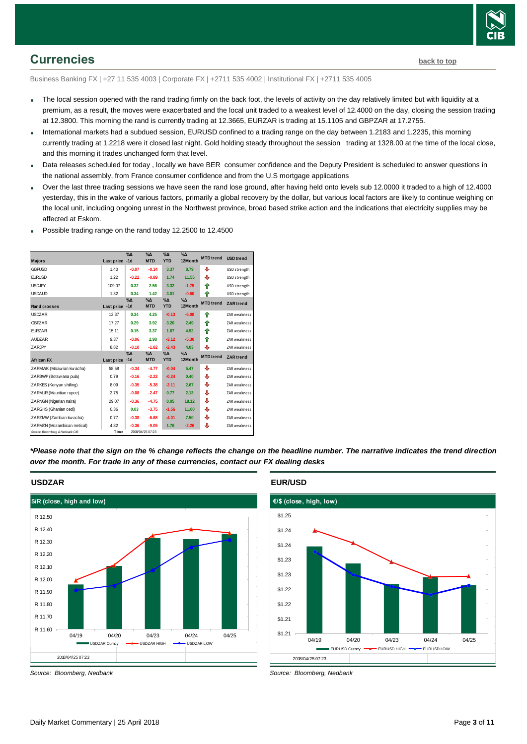

### <span id="page-2-0"></span>**Currencies [back to top](#page-0-0)**

Business Banking FX | +27 11 535 4003 | Corporate FX | +2711 535 4002 | Institutional FX | +2711 535 4005

- The local session opened with the rand trading firmly on the back foot, the levels of activity on the day relatively limited but with liquidity at a premium, as a result, the moves were exacerbated and the local unit traded to a weakest level of 12.4000 on the day, closing the session trading at 12.3800. This morning the rand is currently trading at 12.3665, EURZAR is trading at 15.1105 and GBPZAR at 17.2755.
- International markets had a subdued session, EURUSD confined to a trading range on the day between 1.2183 and 1.2235, this morning currently trading at 1.2218 were it closed last night. Gold holding steady throughout the session trading at 1328.00 at the time of the local close, and this morning it trades unchanged form that level.
- Data releases scheduled for today , locally we have BER consumer confidence and the Deputy President is scheduled to answer questions in the national assembly, from France consumer confidence and from the U.S mortgage applications
- Over the last three trading sessions we have seen the rand lose ground, after having held onto levels sub 12.0000 it traded to a high of 12.4000 yesterday, this in the wake of various factors, primarily a global recovery by the dollar, but various local factors are likely to continue weighing on the local unit, including ongoing unrest in the Northwest province, broad based strike action and the indications that electricity supplies may be affected at Eskom.
- **Majors Last price %Δ -1d %Δ MTD %Δ YTD**  $\frac{1}{2}$ Mc **12Month USD trend MTD trend** GBPUSD 1.40 **-0.07 -0.34 3.37 8.79 4** USD strength **EURUSD 1.22 -0.22 -0.89 1.74 11.55** + USD strength **USDJPY** 109.07 **0.32 2.56 3.32 -1.75 1** USD strength **USDAUD** 1.32 **0.34 1.42 3.01 -0.60 <b>4** USD strength **Rand crosses Last price %Δ -1d %Δ MTD %Δ YTD %Δ 12Month ZAR trend MTD trend** USDZAR 12.37 | 0.34 4.25 -0.13 -6.08 | ↑ ZAR weakness GBPZAR 17.27 | 0.29 3.92 3.20 2.49 | 2AR weakness EURZAR 15.11 **0.15 3.37 1.67 4.92** ### ZAR weakness AUDZAR 9.37 **-0.06 2.98 -3.12 -5.30** ### ZAR weakness ZARJPY **8.82** -0.10 -1.82 -2.43 4.03 - 2AR weakness **African FX Last price %Δ -1d %Δ MTD %Δ YTD %Δ**  %Δ<br>12Month MTD trend ZAR trend 2 9‰ 9‰ 9‰ 9‰<br>2ARMWK (Malaw ian kw acha) Last price -1d MTD YTD 12M onth MTD trend ZAR trend<br>2ARMWK (Malaw ian kw acha) 58.58 -0.34 -4.77 -0.04 5.47 ↓ ZAR weakness African FX<br>ZARMWK (Malawian kwacha) 68.58 **-0.34 -4.77 -0.04** 5.47 ↓ ZAR weakness<br>ZARBWP (Botsw ana pula) 0.79 **-0.16 -2.22 -0.24** 0.40 ↓ ZAR weakness ZARKES (Kenyan shilling) 8.09 **-0.35 -5.38 -3.11 2.67 ↓** ZAR weaknes **ZARMUR (Mauritian rupee)** 2.75 **-0.08 -2.47 0.77 2.13 + ZAR weakness ZARNGN (Nigerian naira)** 29.07 **-0.36 -4.75 0.05 18.12 J** ZAR weakness **ZARGHS (Ghanian cedi)** 0.36 **0.03 -3.75 -1.56 11.00 + ZAR weakness** 2ARNGN (Ngerian naira) 29.07 **-0.36 -4.75 0.05 18.12 ↓ ZAR weakness**<br>ZARGHS (Ghanian cedi) 0.36 0.03 -3.75 -1.56 11.00 ↓ ZAR weakness<br>ZARZMV (Zambian kw acha) 0.77 **-0.38 -6.68 -4.01** 7.50 ↓ ZAR weakness 2.ARZ/MV (Zammbian kwiacha) 0.77 **-0.38 -6.68 -4.01 7.50 ↓ ZAR weakness**<br>2.ARMZN (Mozambican metical) 4.82 -0.36 -9.05 1.76 -2.26 ↓ ZAR weakness<br>*Source: Bloomberg & Nedbank CIB* Time 2019/04/250723 **MTD** tre 2018/04/25 07:23
- Possible trading range on the rand today 12.2500 to 12.4500

*\*Please note that the sign on the % change reflects the change on the headline number. The narrative indicates the trend direction over the month. For trade in any of these currencies, contact our FX dealing desks*



*Source: Bloomberg, Nedbank*

#### **EUR/USD**



*Source: Bloomberg, Nedbank*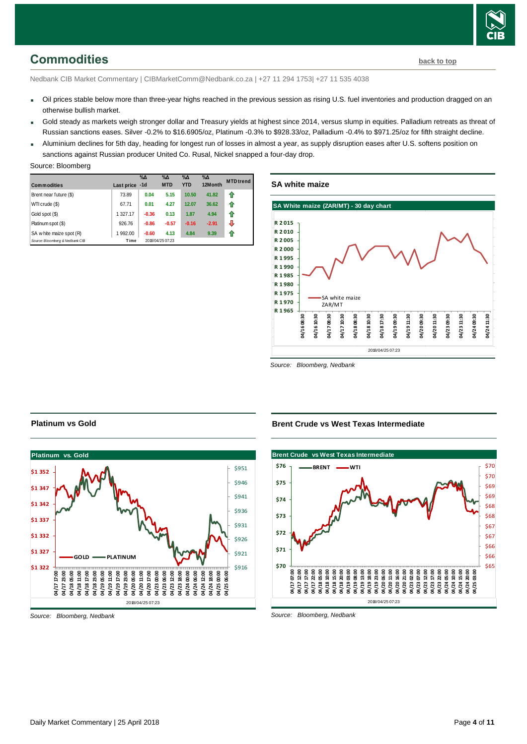## <span id="page-3-0"></span>**Commodities [back to top](#page-0-0)**

Nedbank CIB Market Commentary | CIBMarketComm@Nedbank.co.za | +27 11 294 1753| +27 11 535 4038

- Oil prices stable below more than three-year highs reached in the previous session as rising U.S. fuel inventories and production dragged on an otherwise bullish market.
- Gold steady as markets weigh stronger dollar and Treasury yields at highest since 2014, versus slump in equities. Palladium retreats as threat of Russian sanctions eases. Silver -0.2% to \$16.6905/oz, Platinum -0.3% to \$928.33/oz, Palladium -0.4% to \$971.25/oz for fifth straight decline.
- Aluminium declines for 5th day, heading for longest run of losses in almost a year, as supply disruption eases after U.S. softens position on sanctions against Russian producer United Co. Rusal, Nickel snapped a four-day drop.

| <b>Commodities</b>              | Last price -1d | $\%$ $\Delta$ | $\%$ $\Delta$<br><b>MTD</b> | $\%$ $\Delta$<br><b>YTD</b> | $\%$ $\Delta$<br>12Month | <b>MTD</b> trend |
|---------------------------------|----------------|---------------|-----------------------------|-----------------------------|--------------------------|------------------|
| Brent near future (\$)          | 73.89          | 0.04          | 5.15                        | 10.50                       | 41.82                    | ⇑                |
| WTI crude (\$)                  | 67.71          | 0.01          | 4.27                        | 12.07                       | 36.62                    | ⇑                |
| Gold spot (\$)                  | 1 327.17       | $-0.36$       | 0.13                        | 1.87                        | 4.94                     | 1                |
| Platinum spot (\$)              | 926.76         | $-0.86$       | $-0.57$                     | $-0.16$                     | $-2.91$                  | ⇩                |
| SA w hite maize spot (R)        | 1 992.00       | $-0.60$       | 4.13                        | 4.84                        | 9.39                     | ⇑                |
| Source: Bloomberg & Nedbank CIB | Time           |               | 2018/04/25 07:23            |                             |                          |                  |

#### **SA white maize**



*Source: Bloomberg, Nedbank*



#### *Source: Bloomberg, Nedbank*

**Platinum vs Gold**

**Brent Crude vs West Texas Intermediate**



*Source: Bloomberg, Nedbank*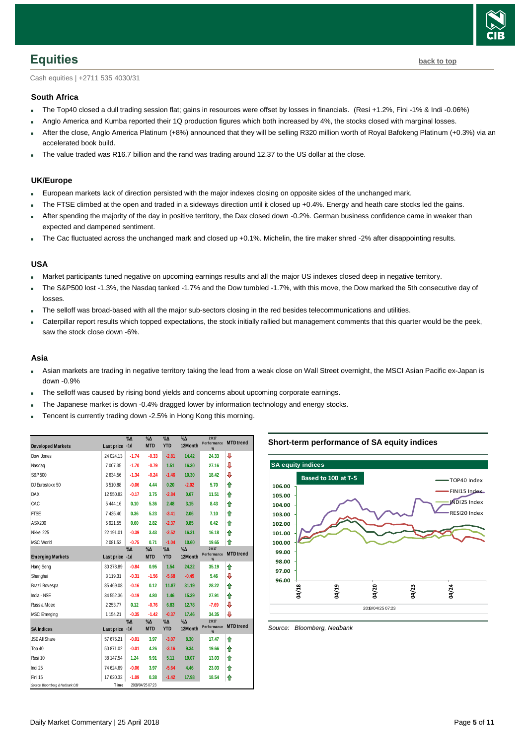

<span id="page-4-0"></span>Cash equities | +2711 535 4030/31

#### **South Africa**

- The Top40 closed a dull trading session flat; gains in resources were offset by losses in financials. (Resi +1.2%, Fini -1% & Indi -0.06%)
- Anglo America and Kumba reported their 1Q production figures which both increased by 4%, the stocks closed with marginal losses.
- After the close, Anglo America Platinum (+8%) announced that they will be selling R320 million worth of Royal Bafokeng Platinum (+0.3%) via an accelerated book build.
- The value traded was R16.7 billion and the rand was trading around 12.37 to the US dollar at the close.

#### **UK/Europe**

- European markets lack of direction persisted with the major indexes closing on opposite sides of the unchanged mark.
- The FTSE climbed at the open and traded in a sideways direction until it closed up +0.4%. Energy and heath care stocks led the gains.
- After spending the majority of the day in positive territory, the Dax closed down -0.2%. German business confidence came in weaker than expected and dampened sentiment.
- The Cac fluctuated across the unchanged mark and closed up +0.1%. Michelin, the tire maker shred -2% after disappointing results.

#### **USA**

- Market participants tuned negative on upcoming earnings results and all the major US indexes closed deep in negative territory.
- The S&P500 lost -1.3%, the Nasdaq tanked -1.7% and the Dow tumbled -1.7%, with this move, the Dow marked the 5th consecutive day of losses.
- The selloff was broad-based with all the major sub-sectors closing in the red besides telecommunications and utilities.
- Caterpillar report results which topped expectations, the stock initially rallied but management comments that this quarter would be the peek, saw the stock close down -6%.

#### **Asia**

- Asian markets are trading in negative territory taking the lead from a weak close on Wall Street overnight, the MSCI Asian Pacific ex-Japan is down -0.9%
- The selloff was caused by rising bond yields and concerns about upcoming corporate earnings.
- The Japanese market is down -0.4% dragged lower by information technology and energy stocks.
- Tencent is currently trading down -2.5% in Hong Kong this morning.

|                                 |                | $\%$ $\Delta$ | $\%$ $\Delta$             | $\%$ $\Delta$             | $\%$ $\Delta$          | 2017<br>Performance      | <b>MTD</b> trend |
|---------------------------------|----------------|---------------|---------------------------|---------------------------|------------------------|--------------------------|------------------|
| <b>Developed Markets</b>        | Last price -1d |               | <b>MTD</b>                | <b>YTD</b>                | 12Month                | $\frac{9}{6}$            |                  |
| Dow Jones                       | 24 024.13      | $-1.74$       | $-0.33$                   | $-2.81$                   | 14.42                  | 24.33                    | J                |
| Nasdaq                          | 7 007.35       | $-1.70$       | $-0.79$                   | 1.51                      | 16.30                  | 27.16                    | J                |
| S&P 500                         | 2634.56        | $-1.34$       | $-0.24$                   | $-1.46$                   | 10.30                  | 18.42                    | J                |
| DJ Eurostoxx 50                 | 3510.88        | $-0.06$       | 4.44                      | 0.20                      | $-2.02$                | 5.70                     | ⇑                |
| DAX                             | 12 550.82      | $-0.17$       | 3.75                      | $-2.84$                   | 0.67                   | 11.51                    | ⇑                |
| CAC                             | 5444.16        | 0.10          | 5.36                      | 2.48                      | 3.15                   | 8.43                     | ⇑                |
| <b>FTSE</b>                     | 7425.40        | 0.36          | 5.23                      | $-3.41$                   | 2.06                   | 7.10                     | ⇑                |
| ASX200                          | 5921.55        | 0.60          | 2.82                      | $-2.37$                   | 0.85                   | 6.42                     | ⇑                |
| Nikkei 225                      | 22 191.01      | $-0.39$       | 3.43                      | $-2.52$                   | 16.31                  | 16.18                    | ⇑                |
| <b>MSCI World</b>               | 2 081.52       | $-0.75$       | 0.71                      | $-1.04$                   | 10.60                  | 19.65                    | ⇑                |
| <b>Emerging Markets</b>         | Last price -1d | $\%$ $\Delta$ | $\% \Delta$<br><b>MTD</b> | $\% \Delta$<br><b>YTD</b> | $\% \Delta$<br>12Month | 2017<br>Performance<br>% | <b>MTD</b> trend |
| Hang Seng                       | 30 378.89      | $-0.84$       | 0.95                      | 1.54                      | 24.22                  | 35.19                    | ⇑                |
| Shanghai                        | 3 119.31       | $-0.31$       | $-1.56$                   | $-5.68$                   | $-0.49$                | 5.46                     | J                |
| Brazil Bovespa                  | 85 469.08      | $-0.16$       | 0.12                      | 11.87                     | 31.19                  | 28.22                    | ♠                |
| India - NSE                     | 34 552.36      | $-0.19$       | 4.80                      | 1.46                      | 15.39                  | 27.91                    | ⇑                |
| Russia Micex                    | 2 2 5 3.77     | 0.12          | $-0.76$                   | 6.83                      | 12.78                  | $-7.69$                  | J                |
| <b>MSCI Emerging</b>            | 1 1 5 4 . 2 1  | $-0.35$       | $-1.42$                   | $-0.37$                   | 17.46                  | 34.35                    | ⇩                |
|                                 |                | $\%$ $\Delta$ | %Д                        | %Δ                        | %Д                     | 2017<br>Performance      | <b>MTD</b> trend |
| <b>SA Indices</b>               | Last price -1d |               | <b>MTD</b>                | <b>YTD</b>                | 12Month                | $\frac{9}{6}$            |                  |
| <b>JSE All Share</b>            | 57 675.21      | $-0.01$       | 3.97                      | $-3.07$                   | 8.30                   | 17.47                    | ⇑                |
| Top 40                          | 50 871.02      | $-0.01$       | 4.26                      | $-3.16$                   | 9.34                   | 19.66                    | ⇑                |
| Resi 10                         | 38 147.54      | 1.24          | 9.91                      | 5.11                      | 19.07                  | 13.03                    | ⇑                |
| Indi 25                         | 74 624.69      | $-0.06$       | 3.97                      | $-5.64$                   | 4.46                   | 23.03                    | ⇑                |
| Fini 15                         | 17 620.32      | $-1.09$       | 0.38                      | $-1.42$                   | 17.98                  | 18.54                    | ⇑                |
| Source: Bloomberg & Nedbank CIB | Time           |               | 2018/04/25 07:23          |                           |                        |                          |                  |

#### **Short-term performance of SA equity indices**



<span id="page-4-1"></span>*Source: Bloomberg, Nedbank*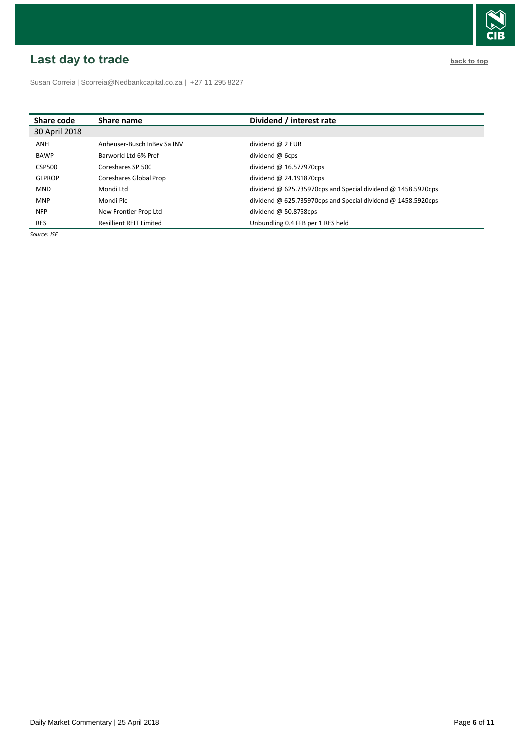# <span id="page-5-0"></span>**Last day to trade back to the contract of the contract of the contract of the contract of the contract of the contract of the contract of the contract of the contract of the contract of the contract of the contract of t**



Susan Correia [| Scorreia@Nedbankcapital.co.za](mailto:Scorreia@Nedbankcapital.co.za) | +27 11 295 8227

| Share code    | Share name                     | Dividend / interest rate                                     |
|---------------|--------------------------------|--------------------------------------------------------------|
| 30 April 2018 |                                |                                                              |
| ANH           | Anheuser-Busch InBey Sa INV    | dividend $\omega$ 2 EUR                                      |
| <b>BAWP</b>   | Barworld Ltd 6% Pref           | dividend $\omega$ 6cps                                       |
| CSP500        | Coreshares SP 500              | dividend $@16.577970cps$                                     |
| <b>GLPROP</b> | Coreshares Global Prop         | dividend $@$ 24.191870cps                                    |
| <b>MND</b>    | Mondi Ltd                      | dividend @ 625.735970cps and Special dividend @ 1458.5920cps |
| <b>MNP</b>    | Mondi Plc                      | dividend @ 625.735970cps and Special dividend @ 1458.5920cps |
| <b>NFP</b>    | New Frontier Prop Ltd          | dividend $\omega$ 50.8758cps                                 |
| <b>RES</b>    | <b>Resillient REIT Limited</b> | Unbundling 0.4 FFB per 1 RES held                            |

*Source: JSE*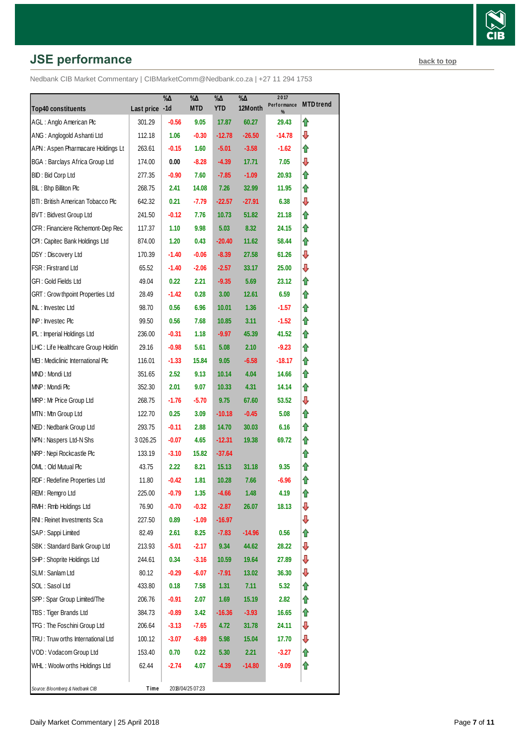# **JSE performance [back to top](#page-0-0) back to top**

|                                         |                | $\% \Delta$ | %Д               | $\% \Delta$ | $\sqrt[9]{6\Delta}$ | 2017<br>Performance | <b>MTD</b> trend |
|-----------------------------------------|----------------|-------------|------------------|-------------|---------------------|---------------------|------------------|
| <b>Top40 constituents</b>               | Last price -1d |             | <b>MTD</b>       | <b>YTD</b>  | 12Month             | %                   |                  |
| AGL: Anglo American Plc                 | 301.29         | $-0.56$     | 9.05             | 17.87       | 60.27               | 29.43               | ⇑                |
| ANG: Anglogold Ashanti Ltd              | 112.18         | 1.06        | $-0.30$          | $-12.78$    | $-26.50$            | $-14.78$            | ⇩                |
| APN: Aspen Pharmacare Holdings Lt       | 263.61         | $-0.15$     | 1.60             | $-5.01$     | $-3.58$             | -1.62               | ⇑                |
| <b>BGA: Barclays Africa Group Ltd</b>   | 174.00         | 0.00        | $-8.28$          | $-4.39$     | 17.71               | 7.05                | ⇩                |
| BID: Bid Corp Ltd                       | 277.35         | $-0.90$     | 7.60             | $-7.85$     | $-1.09$             | 20.93               | ⇑                |
| BIL: Bhp Billiton Plc                   | 268.75         | 2.41        | 14.08            | 7.26        | 32.99               | 11.95               | ⇑                |
| BTI: British American Tobacco Plc       | 642.32         | 0.21        | $-7.79$          | $-22.57$    | $-27.91$            | 6.38                | ⇩                |
| BVT: Bidvest Group Ltd                  | 241.50         | $-0.12$     | 7.76             | 10.73       | 51.82               | 21.18               | ⇑                |
| CFR : Financiere Richemont-Dep Rec      | 117.37         | 1.10        | 9.98             | 5.03        | 8.32                | 24.15               | ⇑                |
| CPI: Capitec Bank Holdings Ltd          | 874.00         | 1.20        | 0.43             | $-20.40$    | 11.62               | 58.44               | ⇑                |
| DSY: Discovery Ltd                      | 170.39         | $-1.40$     | $-0.06$          | $-8.39$     | 27.58               | 61.26               | ⇩                |
| FSR: Firstrand Ltd                      | 65.52          | $-1.40$     | $-2.06$          | $-2.57$     | 33.17               | 25.00               | ⇩                |
| GFI: Gold Fields Ltd                    | 49.04          | 0.22        | 2.21             | $-9.35$     | 5.69                | 23.12               | ⇑                |
| <b>GRT: Grow thpoint Properties Ltd</b> | 28.49          | $-1.42$     | 0.28             | 3.00        | 12.61               | 6.59                | ⇑                |
| INL: Investec Ltd                       | 98.70          | 0.56        | 6.96             | 10.01       | 1.36                | $-1.57$             | ⇑                |
| INP: Investec Plc                       | 99.50          | 0.56        | 7.68             | 10.85       | 3.11                | -1.52               | ⇑                |
| IPL: Imperial Holdings Ltd              | 236.00         | $-0.31$     | 1.18             | $-9.97$     | 45.39               | 41.52               | ⇑                |
| LHC: Life Healthcare Group Holdin       | 29.16          | $-0.98$     | 5.61             | 5.08        | 2.10                | $-9.23$             | ⇑                |
| MEI: Mediclinic International Plc       | 116.01         | $-1.33$     | 15.84            | 9.05        | $-6.58$             | $-18.17$            | ⇑                |
| MND: Mondi Ltd                          | 351.65         | 2.52        | 9.13             | 10.14       | 4.04                | 14.66               | ⇑                |
| MNP: Mondi Plc                          | 352.30         | 2.01        | 9.07             | 10.33       | 4.31                | 14.14               | ⇑                |
| MRP: Mr Price Group Ltd                 | 268.75         | $-1.76$     | $-5.70$          | 9.75        | 67.60               | 53.52               | ⇩                |
| MTN: Mtn Group Ltd                      | 122.70         | 0.25        | 3.09             | $-10.18$    | $-0.45$             | 5.08                | ⇑                |
| NED: Nedbank Group Ltd                  | 293.75         | $-0.11$     | 2.88             | 14.70       | 30.03               | 6.16                | ⇑                |
| NPN: Naspers Ltd-N Shs                  | 3 0 26.25      | $-0.07$     | 4.65             | $-12.31$    | 19.38               | 69.72               | ⇑                |
| NRP: Nepi Rockcastle Plc                | 133.19         | $-3.10$     | 15.82            | $-37.64$    |                     |                     | ⇑                |
| OML: Old Mutual Plc                     | 43.75          | 2.22        | 8.21             | 15.13       | 31.18               | 9.35                | ⇑                |
| RDF: Redefine Properties Ltd            | 11.80          | $-0.42$     | 1.81             | 10.28       | 7.66                | $-6.96$             | ⇑                |
| REM: Remgro Ltd                         | 225.00         | $-0.79$     | 1.35             | $-4.66$     | 1.48                | 4.19                | ⇑                |
| RMH : Rmb Holdings Ltd                  | 76.90          | $-0.70$     | $-0.32$          | $-2.87$     | 26.07               | 18.13               | ⊕                |
| RNI: Reinet Investments Sca             | 227.50         | 0.89        | $-1.09$          | $-16.97$    |                     |                     | ⊕                |
| SAP: Sappi Limited                      | 82.49          | 2.61        | 8.25             | $-7.83$     | -14.96              | 0.56                | ⇑                |
| SBK: Standard Bank Group Ltd            | 213.93         | $-5.01$     | $-2.17$          | 9.34        | 44.62               | 28.22               | ⇩                |
| SHP: Shoprite Holdings Ltd              | 244.61         | 0.34        | $-3.16$          | 10.59       | 19.64               | 27.89               | ⊕                |
| SLM: Sanlam Ltd                         | 80.12          | $-0.29$     | $-6.07$          | $-7.91$     | 13.02               | 36.30               | ⇩                |
| SOL: Sasol Ltd                          | 433.80         | 0.18        | 7.58             | 1.31        | 7.11                | 5.32                | ⇑                |
| SPP: Spar Group Limited/The             | 206.76         | $-0.91$     | 2.07             | 1.69        | 15.19               | 2.82                | ⇑                |
| TBS: Tiger Brands Ltd                   | 384.73         | -0.89       | 3.42             | -16.36      | $-3.93$             | 16.65               | ⇑                |
| TFG: The Foschini Group Ltd             | 206.64         | $-3.13$     | $-7.65$          | 4.72        | 31.78               | 24.11               | ⊕                |
| TRU: Truw orths International Ltd       | 100.12         | $-3.07$     | $-6.89$          | 5.98        | 15.04               | 17.70               | ⇩                |
| VOD: Vodacom Group Ltd                  | 153.40         | 0.70        | 0.22             | 5.30        | 2.21                | $-3.27$             | ⇑                |
| WHL: Woolw orths Holdings Ltd           | 62.44          | -2.74       | 4.07             | -4.39       | $-14.80$            | -9.09               | ⇑                |
|                                         |                |             |                  |             |                     |                     |                  |
| Source: Bloomberg & Nedbank CIB         | Time           |             | 2018/04/25 07:23 |             |                     |                     |                  |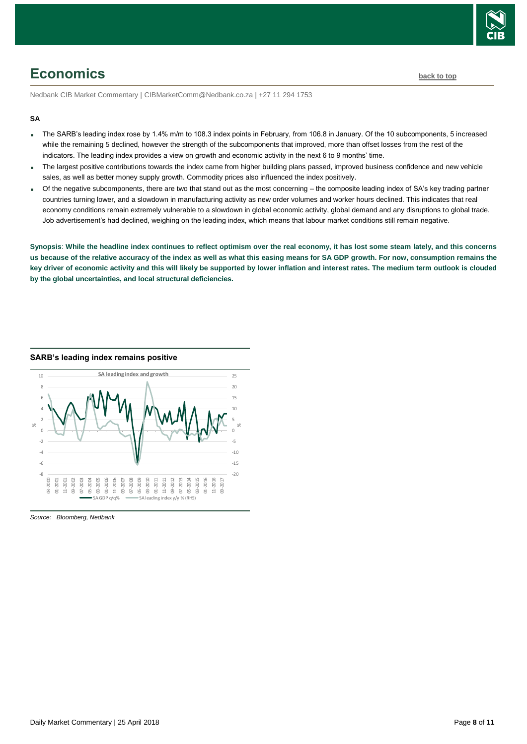

# <span id="page-7-0"></span>**Economics [back to top](#page-0-0)**

Nedbank CIB Market Commentary | CIBMarketComm@Nedbank.co.za | +27 11 294 1753

#### **SA**

- The SARB's leading index rose by 1.4% m/m to 108.3 index points in February, from 106.8 in January. Of the 10 subcomponents, 5 increased while the remaining 5 declined, however the strength of the subcomponents that improved, more than offset losses from the rest of the indicators. The leading index provides a view on growth and economic activity in the next 6 to 9 months' time.
- The largest positive contributions towards the index came from higher building plans passed, improved business confidence and new vehicle sales, as well as better money supply growth. Commodity prices also influenced the index positively.
- Of the negative subcomponents, there are two that stand out as the most concerning the composite leading index of SA's key trading partner countries turning lower, and a slowdown in manufacturing activity as new order volumes and worker hours declined. This indicates that real economy conditions remain extremely vulnerable to a slowdown in global economic activity, global demand and any disruptions to global trade. Job advertisement's had declined, weighing on the leading index, which means that labour market conditions still remain negative.

**Synopsis**: **While the headline index continues to reflect optimism over the real economy, it has lost some steam lately, and this concerns us because of the relative accuracy of the index as well as what this easing means for SA GDP growth. For now, consumption remains the key driver of economic activity and this will likely be supported by lower inflation and interest rates. The medium term outlook is clouded by the global uncertainties, and local structural deficiencies.** 



**SARB's leading index remains positive**

*Source: Bloomberg, Nedbank*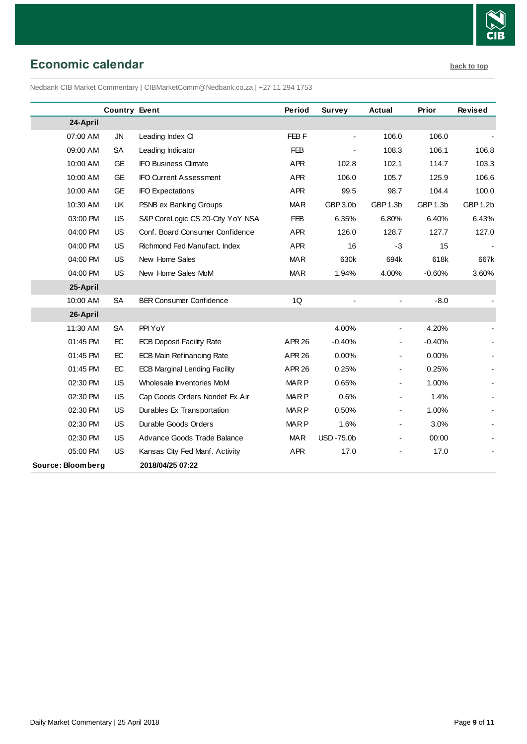

# <span id="page-8-0"></span>**Economic calendar [back to top](#page-0-0)**

Nedbank CIB Market Commentary | CIBMarketComm@Nedbank.co.za | +27 11 294 1753

|                   | <b>Country Event</b> |                                      | Period           | Survey           | <b>Actual</b>            | Prior    | Revised  |
|-------------------|----------------------|--------------------------------------|------------------|------------------|--------------------------|----------|----------|
| 24-April          |                      |                                      |                  |                  |                          |          |          |
| 07:00 AM          | <b>JN</b>            | Leading Index CI                     | FEB <sub>F</sub> |                  | 106.0                    | 106.0    |          |
| 09:00 AM          | SA                   | Leading Indicator                    | <b>FEB</b>       |                  | 108.3                    | 106.1    | 106.8    |
| 10:00 AM          | <b>GE</b>            | <b>IFO Business Climate</b>          | <b>APR</b>       | 102.8            | 102.1                    | 114.7    | 103.3    |
| 10:00 AM          | <b>GE</b>            | <b>IFO Current Assessment</b>        | <b>APR</b>       | 106.0            | 105.7                    | 125.9    | 106.6    |
| 10:00 AM          | <b>GE</b>            | <b>IFO Expectations</b>              | <b>APR</b>       | 99.5             | 98.7                     | 104.4    | 100.0    |
| 10:30 AM          | UK                   | PSNB ex Banking Groups               | <b>MAR</b>       | GBP 3.0b         | GBP 1.3b                 | GBP 1.3b | GBP 1.2b |
| 03:00 PM          | US                   | S&P CoreLogic CS 20-City YoY NSA     | <b>FEB</b>       | 6.35%            | 6.80%                    | 6.40%    | 6.43%    |
| 04:00 PM          | US                   | Conf. Board Consumer Confidence      | <b>APR</b>       | 126.0            | 128.7                    | 127.7    | 127.0    |
| 04:00 PM          | US                   | Richmond Fed Manufact. Index         | <b>APR</b>       | 16               | $-3$                     | 15       |          |
| 04:00 PM          | US                   | New Home Sales                       | <b>MAR</b>       | 630k             | 694k                     | 618k     | 667k     |
| 04:00 PM          | <b>US</b>            | New Home Sales MoM                   | <b>MAR</b>       | 1.94%            | 4.00%                    | $-0.60%$ | 3.60%    |
| 25-April          |                      |                                      |                  |                  |                          |          |          |
| 10:00 AM          | <b>SA</b>            | <b>BER Consumer Confidence</b>       | 1Q               |                  | $\overline{\phantom{0}}$ | $-8.0$   |          |
| 26-April          |                      |                                      |                  |                  |                          |          |          |
| 11:30 AM          | <b>SA</b>            | PPI YoY                              |                  | 4.00%            | $\overline{a}$           | 4.20%    |          |
| 01:45 PM          | EC                   | <b>ECB Deposit Facility Rate</b>     | <b>APR 26</b>    | $-0.40%$         |                          | $-0.40%$ |          |
| 01:45 PM          | EC                   | <b>ECB Main Refinancing Rate</b>     | APR 26           | 0.00%            | $\overline{\phantom{a}}$ | 0.00%    |          |
| 01:45 PM          | EC                   | <b>ECB Marginal Lending Facility</b> | <b>APR 26</b>    | 0.25%            | $\overline{\phantom{a}}$ | 0.25%    |          |
| 02:30 PM          | <b>US</b>            | Wholesale Inventories MoM            | <b>MARP</b>      | 0.65%            |                          | 1.00%    |          |
| 02:30 PM          | US                   | Cap Goods Orders Nondef Ex Air       | <b>MARP</b>      | 0.6%             | $\blacksquare$           | 1.4%     |          |
| 02:30 PM          | <b>US</b>            | Durables Ex Transportation           | <b>MARP</b>      | 0.50%            | $\overline{\phantom{a}}$ | 1.00%    |          |
| 02:30 PM          | US                   | Durable Goods Orders                 | <b>MARP</b>      | 1.6%             | $\overline{\phantom{0}}$ | 3.0%     |          |
| 02:30 PM          | US                   | Advance Goods Trade Balance          | <b>MAR</b>       | <b>USD-75.0b</b> |                          | 00:00    |          |
| 05:00 PM          | US                   | Kansas City Fed Manf. Activity       | <b>APR</b>       | 17.0             |                          | 17.0     |          |
| Source: Bloomberg |                      | 2018/04/25 07:22                     |                  |                  |                          |          |          |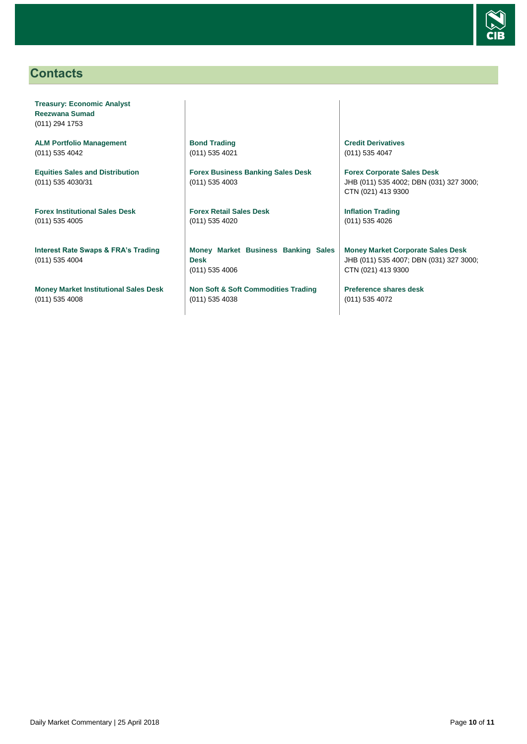

### <span id="page-9-0"></span>**Contacts**

**Treasury: Economic Analyst Reezwana Sumad** (011) 294 1753

**ALM Portfolio Management** (011) 535 4042

**Equities Sales and Distribution** (011) 535 4030/31

**Forex Institutional Sales Desk** (011) 535 4005

**Interest Rate Swaps & FRA's Trading** (011) 535 4004

**Money Market Institutional Sales Desk** (011) 535 4008

**Bond Trading** (011) 535 4021

**Forex Business Banking Sales Desk** (011) 535 4003

**Forex Retail Sales Desk** (011) 535 4020

**Money Market Business Banking Sales Desk** (011) 535 4006

**Non Soft & Soft Commodities Trading** (011) 535 4038

**Credit Derivatives**  (011) 535 4047

**Forex Corporate Sales Desk** JHB (011) 535 4002; DBN (031) 327 3000; CTN (021) 413 9300

**Inflation Trading** (011) 535 4026

**Money Market Corporate Sales Desk** JHB (011) 535 4007; DBN (031) 327 3000; CTN (021) 413 9300

**Preference shares desk** (011) 535 4072